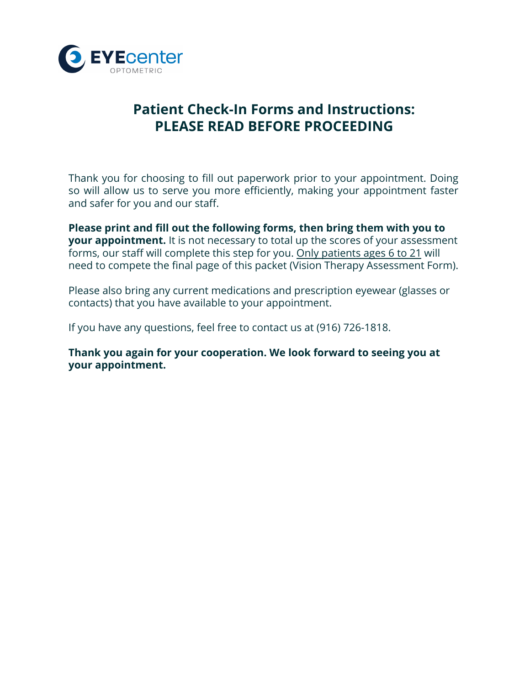

# **Patient Check-In Forms and Instructions: PLEASE READ BEFORE PROCEEDING**

Thank you for choosing to fill out paperwork prior to your appointment. Doing so will allow us to serve you more efficiently, making your appointment faster and safer for you and our staff.

**Please print and fill out the following forms, then bring them with you to your appointment.** It is not necessary to total up the scores of your assessment forms, our staff will complete this step for you. Only patients ages 6 to 21 will need to compete the final page of this packet (Vision Therapy Assessment Form).

Please also bring any current medications and prescription eyewear (glasses or contacts) that you have available to your appointment.

If you have any questions, feel free to contact us at (916) 726-1818.

**Thank you again for your cooperation. We look forward to seeing you at your appointment.**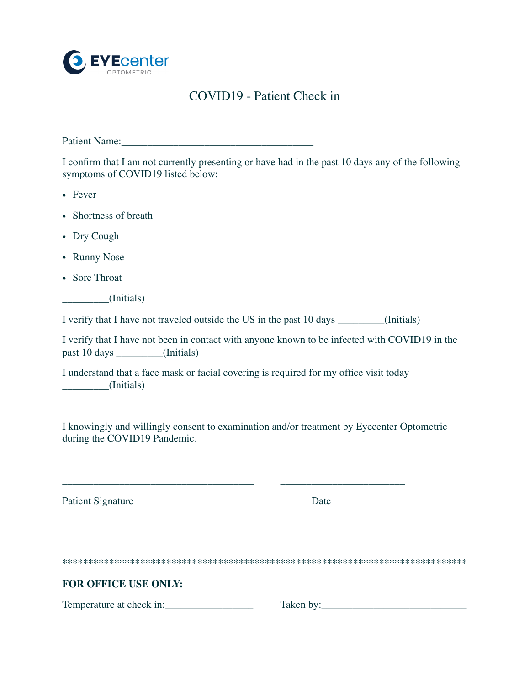

## COVID19 - Patient Check in

Patient Name:

I confirm that I am not currently presenting or have had in the past 10 days any of the following symptoms of COVID19 listed below:

- Fever
- Shortness of breath
- Dry Cough
- Runny Nose
- Sore Throat

\_\_\_\_\_\_\_\_\_(Initials)

I verify that I have not traveled outside the US in the past 10 days \_\_\_\_\_\_\_\_\_(Initials)

I verify that I have not been in contact with anyone known to be infected with COVID19 in the past 10 days \_\_\_\_\_\_\_\_\_(Initials)

I understand that a face mask or facial covering is required for my office visit today \_\_\_\_\_\_\_\_\_(Initials)

\_\_\_\_\_\_\_\_\_\_\_\_\_\_\_\_\_\_\_\_\_\_\_\_\_\_\_\_\_\_\_\_\_\_\_\_\_ \_\_\_\_\_\_\_\_\_\_\_\_\_\_\_\_\_\_\_\_\_\_\_\_

I knowingly and willingly consent to examination and/or treatment by Eyecenter Optometric during the COVID19 Pandemic.

Patient Signature Date

\*\*\*\*\*\*\*\*\*\*\*\*\*\*\*\*\*\*\*\*\*\*\*\*\*\*\*\*\*\*\*\*\*\*\*\*\*\*\*\*\*\*\*\*\*\*\*\*\*\*\*\*\*\*\*\*\*\*\*\*\*\*\*\*\*\*\*\*\*\*\*\*\*\*\*\*\*\*

#### **FOR OFFICE USE ONLY:**

Temperature at check in:\_\_\_\_\_\_\_\_\_\_\_\_\_\_\_\_\_ Taken by:\_\_\_\_\_\_\_\_\_\_\_\_\_\_\_\_\_\_\_\_\_\_\_\_\_\_\_\_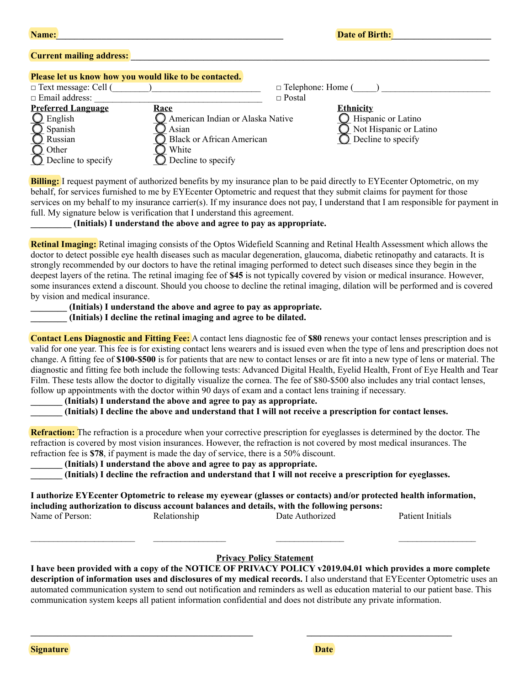|  | <b>Name:</b> |  |
|--|--------------|--|
|  |              |  |

### **Current mailing address:**

#### **Please let us know how you would like to be contacted.**

| $\Box$ Text message: Cell ( |                                  | $\Box$ Telephone: Home ( |
|-----------------------------|----------------------------------|--------------------------|
| $\Box$ Email address:       |                                  | $\Box$ Postal            |
| <b>Preferred Language</b>   | <u>Race</u>                      | <b>Ethnicity</b>         |
| English                     | American Indian or Alaska Native | Hispanic or Latino       |
| Spanish                     | Asian                            | Not Hispanic or Latino   |
| Russian                     | <b>Black or African American</b> | Decline to specify       |
| Other                       | White                            |                          |
| Decline to specify          | Decline to specify               |                          |

**Billing:** I request payment of authorized benefits by my insurance plan to be paid directly to EYEcenter Optometric, on my behalf, for services furnished to me by EYEcenter Optometric and request that they submit claims for payment for those services on my behalf to my insurance carrier(s). If my insurance does not pay, I understand that I am responsible for payment in full. My signature below is verification that I understand this agreement.

#### **\_\_\_\_\_\_\_\_\_ (Initials) I understand the above and agree to pay as appropriate.**

**Retinal Imaging:** Retinal imaging consists of the Optos Widefield Scanning and Retinal Health Assessment which allows the doctor to detect possible eye health diseases such as macular degeneration, glaucoma, diabetic retinopathy and cataracts. It is strongly recommended by our doctors to have the retinal imaging performed to detect such diseases since they begin in the deepest layers of the retina. The retinal imaging fee of **\$45** is not typically covered by vision or medical insurance. However, some insurances extend a discount. Should you choose to decline the retinal imaging, dilation will be performed and is covered by vision and medical insurance.

### **\_\_\_\_\_\_\_\_ (Initials) I understand the above and agree to pay as appropriate.**

**\_\_\_\_\_\_\_\_ (Initials) I decline the retinal imaging and agree to be dilated.**

**Contact Lens Diagnostic and Fitting Fee:** A contact lens diagnostic fee of **\$80** renews your contact lenses prescription and is valid for one year. This fee is for existing contact lens wearers and is issued even when the type of lens and prescription does not change. A fitting fee of **\$100-\$500** is for patients that are new to contact lenses or are fit into a new type of lens or material. The diagnostic and fitting fee both include the following tests: Advanced Digital Health, Eyelid Health, Front of Eye Health and Tear Film. These tests allow the doctor to digitally visualize the cornea. The fee of \$80-\$500 also includes any trial contact lenses, follow up appointments with the doctor within 90 days of exam and a contact lens training if necessary.

### **\_\_\_\_\_\_\_ (Initials) I understand the above and agree to pay as appropriate.**

**\_\_\_\_\_\_\_ (Initials) I decline the above and understand that I will not receive a prescription for contact lenses.**

**Refraction:** The refraction is a procedure when your corrective prescription for eyeglasses is determined by the doctor. The refraction is covered by most vision insurances. However, the refraction is not covered by most medical insurances. The refraction fee is **\$78**, if payment is made the day of service, there is a 50% discount.

**\_\_\_\_\_\_\_ (Initials) I understand the above and agree to pay as appropriate.**

**\_\_\_\_\_\_\_ (Initials) I decline the refraction and understand that I will not receive a prescription for eyeglasses.** 

| I authorize EYE center Optometric to release my eyewear (glasses or contacts) and/or protected health information, |              |                 |                  |  |  |  |
|--------------------------------------------------------------------------------------------------------------------|--------------|-----------------|------------------|--|--|--|
| including authorization to discuss account balances and details, with the following persons:                       |              |                 |                  |  |  |  |
| Name of Person:                                                                                                    | Relationship | Date Authorized | Patient Initials |  |  |  |

### **Privacy Policy Statement**

**I have been provided with a copy of the NOTICE OF PRIVACY POLICY v2019.04.01 which provides a more complete description of information uses and disclosures of my medical records.** I also understand that EYEcenter Optometric uses an automated communication system to send out notification and reminders as well as education material to our patient base. This communication system keeps all patient information confidential and does not distribute any private information.

**\_\_\_\_\_\_\_\_\_\_\_\_\_\_\_\_\_\_\_\_\_\_\_\_\_\_\_\_\_\_\_\_\_\_\_\_\_\_\_\_\_\_\_\_\_\_\_\_\_ \_\_\_\_\_\_\_\_\_\_\_\_\_\_\_\_\_\_\_\_\_\_\_\_\_\_\_\_\_\_\_\_**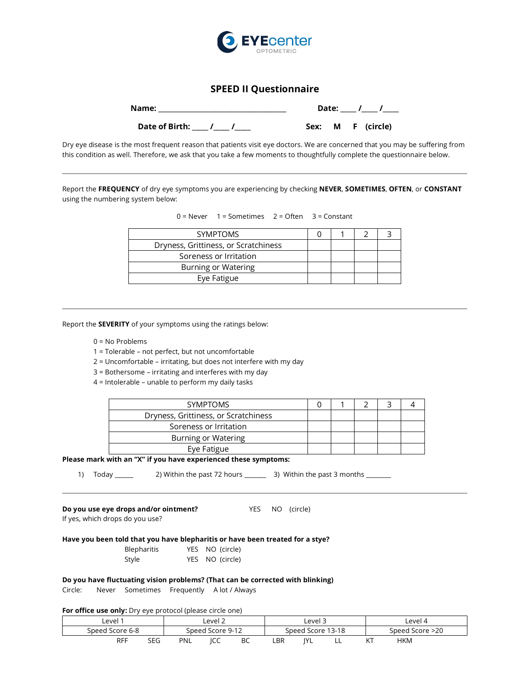

### **SPEED II Questionnaire**

| Name:          | Date: |  |              |  |
|----------------|-------|--|--------------|--|
| Date of Birth: | Sex:  |  | M F (circle) |  |

Dry eye disease is the most frequent reason that patients visit eye doctors. We are concerned that you may be suffering from this condition as well. Therefore, we ask that you take a few moments to thoughtfully complete the questionnaire below.

Report the **FREQUENCY** of dry eye symptoms you are experiencing by checking **NEVER**, **SOMETIMES**, **OFTEN**, or **CONSTANT** using the numbering system below:

 $0 =$  Never  $1 =$  Sometimes  $2 =$  Often  $3 =$  Constant

| <b>SYMPTOMS</b>                      |  |  |  |
|--------------------------------------|--|--|--|
| Dryness, Grittiness, or Scratchiness |  |  |  |
| Soreness or Irritation               |  |  |  |
| Burning or Watering                  |  |  |  |
| Eye Fatigue                          |  |  |  |

Report the **SEVERITY** of your symptoms using the ratings below:

- 0 = No Problems
- 1 = Tolerable not perfect, but not uncomfortable
- 2 = Uncomfortable irritating, but does not interfere with my day
- 3 = Bothersome irritating and interferes with my day
- 4 = Intolerable unable to perform my daily tasks

| <b>SYMPTOMS</b>                      |  |  |  |
|--------------------------------------|--|--|--|
| Dryness, Grittiness, or Scratchiness |  |  |  |
| Soreness or Irritation               |  |  |  |
| Burning or Watering                  |  |  |  |
| Eye Fatigue                          |  |  |  |

#### **Please mark with an "X" if you have experienced these symptoms:**

1) Today \_\_\_\_\_\_ 2) Within the past 72 hours \_\_\_\_\_\_ 3) Within the past 3 months \_\_\_\_\_

**Do you use eye drops and/or ointment?** YES NO (circle)

If yes, which drops do you use?

| Have you been told that you have blepharitis or have been treated for a stye? |                 |  |
|-------------------------------------------------------------------------------|-----------------|--|
| Blepharitis                                                                   | YES NO (circle) |  |
| Style                                                                         | YES NO (circle) |  |

#### **Do you have fluctuating vision problems? (That can be corrected with blinking)**

Circle: Never Sometimes Frequently A lot / Always

#### **For office use only:** Dry eye protocol (please circle one)

| Level 1           | Level 2          | Level 3                 | Level 4         |  |
|-------------------|------------------|-------------------------|-----------------|--|
| Speed Score 6-8   | Speed Score 9-12 | Speed Score 13-18       | Speed Score >20 |  |
| <b>RFF</b><br>SEG | PNL<br>ICC<br>BC | LBR<br>ıvı<br>. .<br>-- | <b>HKM</b>      |  |